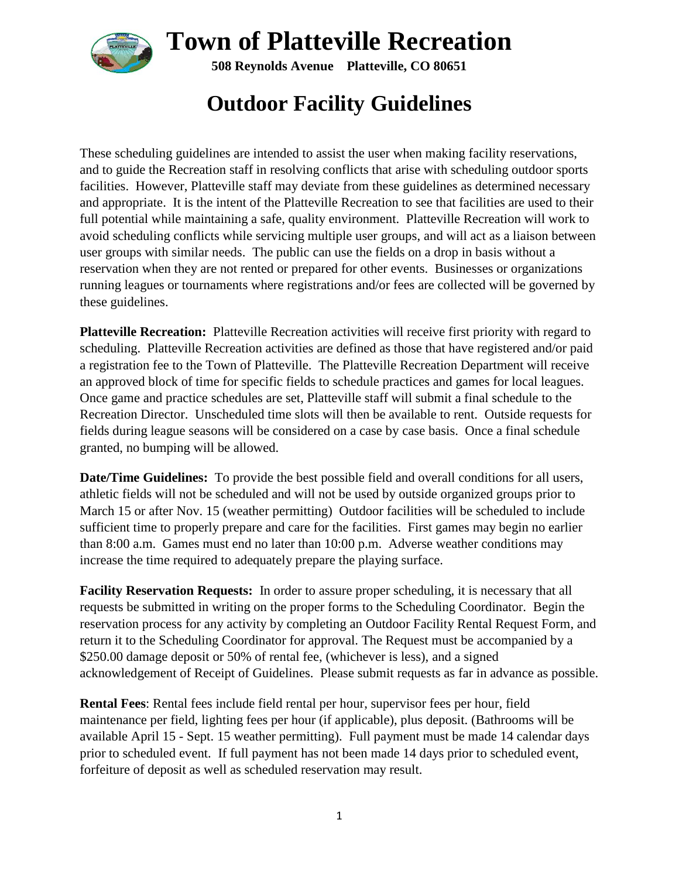

**508 Reynolds Avenue Platteville, CO 80651**

# **Outdoor Facility Guidelines**

These scheduling guidelines are intended to assist the user when making facility reservations, and to guide the Recreation staff in resolving conflicts that arise with scheduling outdoor sports facilities. However, Platteville staff may deviate from these guidelines as determined necessary and appropriate. It is the intent of the Platteville Recreation to see that facilities are used to their full potential while maintaining a safe, quality environment. Platteville Recreation will work to avoid scheduling conflicts while servicing multiple user groups, and will act as a liaison between user groups with similar needs. The public can use the fields on a drop in basis without a reservation when they are not rented or prepared for other events. Businesses or organizations running leagues or tournaments where registrations and/or fees are collected will be governed by these guidelines.

**Platteville Recreation:** Platteville Recreation activities will receive first priority with regard to scheduling. Platteville Recreation activities are defined as those that have registered and/or paid a registration fee to the Town of Platteville. The Platteville Recreation Department will receive an approved block of time for specific fields to schedule practices and games for local leagues. Once game and practice schedules are set, Platteville staff will submit a final schedule to the Recreation Director. Unscheduled time slots will then be available to rent. Outside requests for fields during league seasons will be considered on a case by case basis. Once a final schedule granted, no bumping will be allowed.

**Date/Time Guidelines:** To provide the best possible field and overall conditions for all users, athletic fields will not be scheduled and will not be used by outside organized groups prior to March 15 or after Nov. 15 (weather permitting) Outdoor facilities will be scheduled to include sufficient time to properly prepare and care for the facilities. First games may begin no earlier than 8:00 a.m. Games must end no later than 10:00 p.m. Adverse weather conditions may increase the time required to adequately prepare the playing surface.

**Facility Reservation Requests:** In order to assure proper scheduling, it is necessary that all requests be submitted in writing on the proper forms to the Scheduling Coordinator. Begin the reservation process for any activity by completing an Outdoor Facility Rental Request Form, and return it to the Scheduling Coordinator for approval. The Request must be accompanied by a \$250.00 damage deposit or 50% of rental fee, (whichever is less), and a signed acknowledgement of Receipt of Guidelines. Please submit requests as far in advance as possible.

**Rental Fees**: Rental fees include field rental per hour, supervisor fees per hour, field maintenance per field, lighting fees per hour (if applicable), plus deposit. (Bathrooms will be available April 15 - Sept. 15 weather permitting). Full payment must be made 14 calendar days prior to scheduled event. If full payment has not been made 14 days prior to scheduled event, forfeiture of deposit as well as scheduled reservation may result.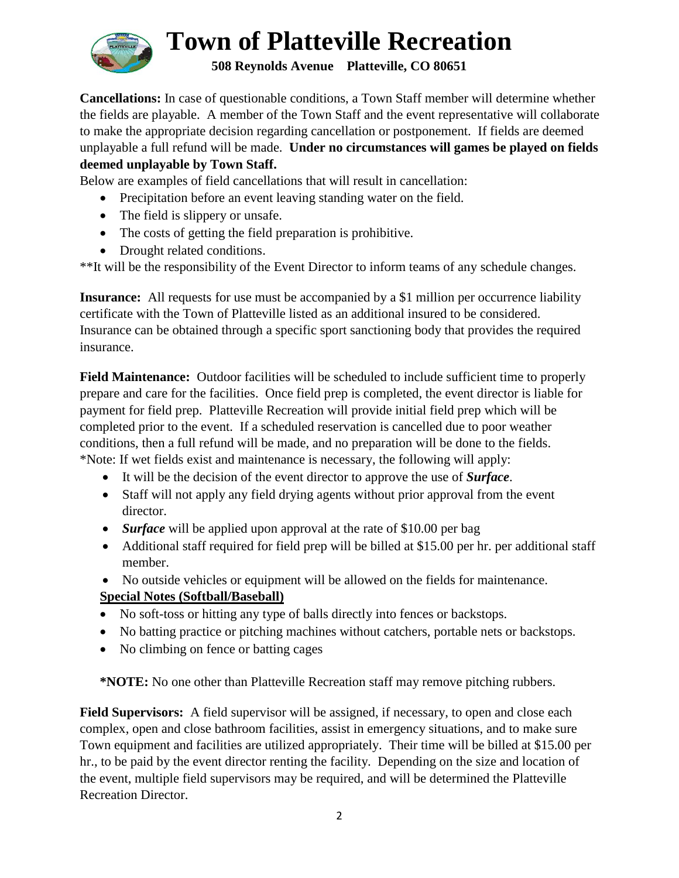

**508 Reynolds Avenue Platteville, CO 80651**

**Cancellations:** In case of questionable conditions, a Town Staff member will determine whether the fields are playable. A member of the Town Staff and the event representative will collaborate to make the appropriate decision regarding cancellation or postponement. If fields are deemed unplayable a full refund will be made. **Under no circumstances will games be played on fields deemed unplayable by Town Staff.**

Below are examples of field cancellations that will result in cancellation:

- Precipitation before an event leaving standing water on the field.
- The field is slippery or unsafe.
- The costs of getting the field preparation is prohibitive.
- Drought related conditions.

\*\*It will be the responsibility of the Event Director to inform teams of any schedule changes.

**Insurance:** All requests for use must be accompanied by a \$1 million per occurrence liability certificate with the Town of Platteville listed as an additional insured to be considered. Insurance can be obtained through a specific sport sanctioning body that provides the required insurance.

**Field Maintenance:** Outdoor facilities will be scheduled to include sufficient time to properly prepare and care for the facilities. Once field prep is completed, the event director is liable for payment for field prep. Platteville Recreation will provide initial field prep which will be completed prior to the event. If a scheduled reservation is cancelled due to poor weather conditions, then a full refund will be made, and no preparation will be done to the fields. \*Note: If wet fields exist and maintenance is necessary, the following will apply:

- It will be the decision of the event director to approve the use of *Surface*.
- Staff will not apply any field drying agents without prior approval from the event director.
- *Surface* will be applied upon approval at the rate of \$10.00 per bag
- Additional staff required for field prep will be billed at \$15.00 per hr. per additional staff member.
- No outside vehicles or equipment will be allowed on the fields for maintenance.

### **Special Notes (Softball/Baseball)**

- No soft-toss or hitting any type of balls directly into fences or backstops.
- No batting practice or pitching machines without catchers, portable nets or backstops.
- No climbing on fence or batting cages

**\*NOTE:** No one other than Platteville Recreation staff may remove pitching rubbers.

**Field Supervisors:** A field supervisor will be assigned, if necessary, to open and close each complex, open and close bathroom facilities, assist in emergency situations, and to make sure Town equipment and facilities are utilized appropriately. Their time will be billed at \$15.00 per hr., to be paid by the event director renting the facility. Depending on the size and location of the event, multiple field supervisors may be required, and will be determined the Platteville Recreation Director.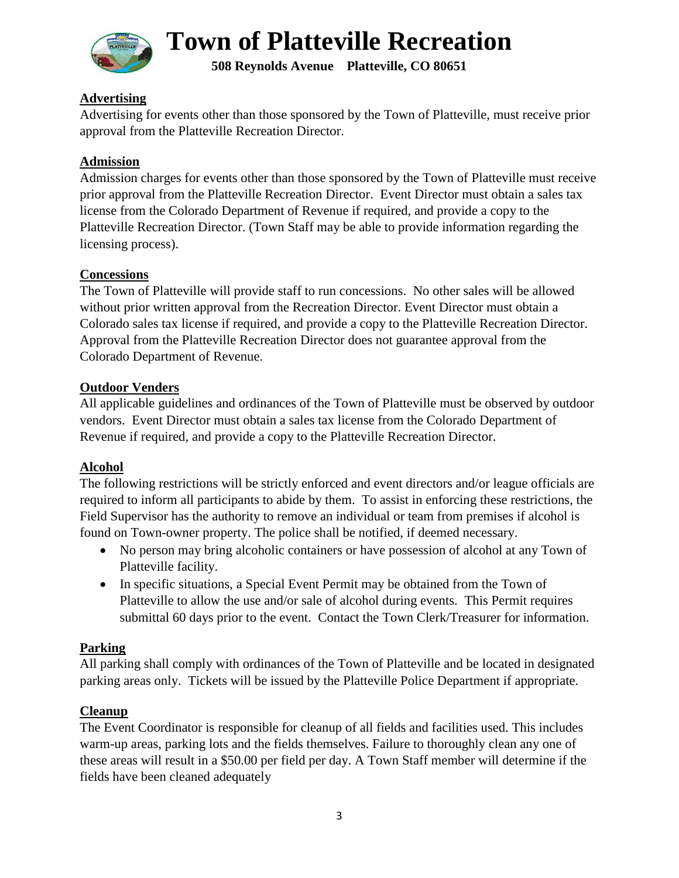

**508 Reynolds Avenue Platteville, CO 80651**

### **Advertising**

Advertising for events other than those sponsored by the Town of Platteville, must receive prior approval from the Platteville Recreation Director.

### **Admission**

Admission charges for events other than those sponsored by the Town of Platteville must receive prior approval from the Platteville Recreation Director. Event Director must obtain a sales tax license from the Colorado Department of Revenue if required, and provide a copy to the Platteville Recreation Director. (Town Staff may be able to provide information regarding the licensing process).

### **Concessions**

The Town of Platteville will provide staff to run concessions. No other sales will be allowed without prior written approval from the Recreation Director. Event Director must obtain a Colorado sales tax license if required, and provide a copy to the Platteville Recreation Director. Approval from the Platteville Recreation Director does not guarantee approval from the Colorado Department of Revenue.

### **Outdoor Venders**

All applicable guidelines and ordinances of the Town of Platteville must be observed by outdoor vendors. Event Director must obtain a sales tax license from the Colorado Department of Revenue if required, and provide a copy to the Platteville Recreation Director.

### **Alcohol**

The following restrictions will be strictly enforced and event directors and/or league officials are required to inform all participants to abide by them. To assist in enforcing these restrictions, the Field Supervisor has the authority to remove an individual or team from premises if alcohol is found on Town-owner property. The police shall be notified, if deemed necessary.

- No person may bring alcoholic containers or have possession of alcohol at any Town of Platteville facility.
- In specific situations, a Special Event Permit may be obtained from the Town of Platteville to allow the use and/or sale of alcohol during events. This Permit requires submittal 60 days prior to the event. Contact the Town Clerk/Treasurer for information.

### **Parking**

All parking shall comply with ordinances of the Town of Platteville and be located in designated parking areas only. Tickets will be issued by the Platteville Police Department if appropriate.

### **Cleanup**

The Event Coordinator is responsible for cleanup of all fields and facilities used. This includes warm-up areas, parking lots and the fields themselves. Failure to thoroughly clean any one of these areas will result in a \$50.00 per field per day. A Town Staff member will determine if the fields have been cleaned adequately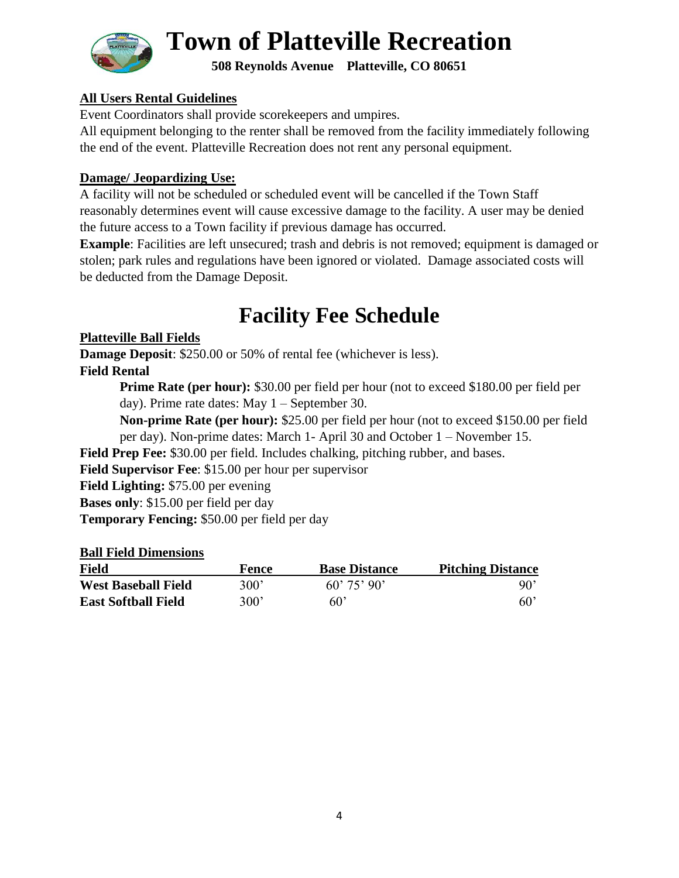

**508 Reynolds Avenue Platteville, CO 80651**

### **All Users Rental Guidelines**

Event Coordinators shall provide scorekeepers and umpires.

All equipment belonging to the renter shall be removed from the facility immediately following the end of the event. Platteville Recreation does not rent any personal equipment.

### **Damage/ Jeopardizing Use:**

A facility will not be scheduled or scheduled event will be cancelled if the Town Staff reasonably determines event will cause excessive damage to the facility. A user may be denied the future access to a Town facility if previous damage has occurred.

**Example**: Facilities are left unsecured; trash and debris is not removed; equipment is damaged or stolen; park rules and regulations have been ignored or violated. Damage associated costs will be deducted from the Damage Deposit.

### **Facility Fee Schedule**

### **Platteville Ball Fields**

**Damage Deposit:** \$250.00 or 50% of rental fee (whichever is less).

### **Field Rental**

**Prime Rate (per hour):** \$30.00 per field per hour (not to exceed \$180.00 per field per day). Prime rate dates: May 1 – September 30.

**Non-prime Rate (per hour):** \$25.00 per field per hour (not to exceed \$150.00 per field per day). Non-prime dates: March 1- April 30 and October 1 – November 15.

**Field Prep Fee:** \$30.00 per field. Includes chalking, pitching rubber, and bases.

**Field Supervisor Fee**: \$15.00 per hour per supervisor

**Field Lighting:** \$75.00 per evening

**Bases only**: \$15.00 per field per day

**Temporary Fencing:** \$50.00 per field per day

### **Ball Field Dimensions**

| Field                      | Fence | <b>Base Distance</b> | <b>Pitching Distance</b> |
|----------------------------|-------|----------------------|--------------------------|
| <b>West Baseball Field</b> | 300'  | $60'$ 75' 90'        | 90'                      |
| <b>East Softball Field</b> | 300'  | $60^{\circ}$         | $60^{\circ}$             |